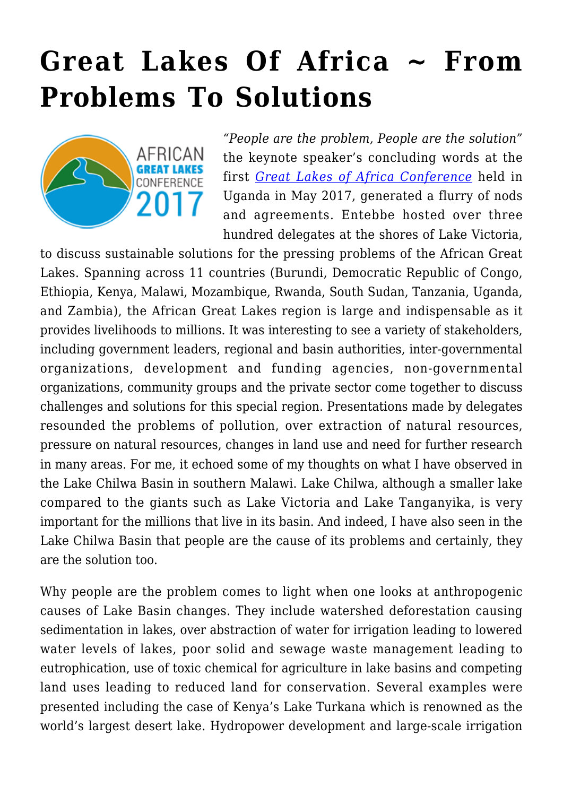## **[Great Lakes Of Africa ~ From](https://rozenbergquarterly.com/great-lakes-of-africa-from-problems-to-solutions/) [Problems To Solutions](https://rozenbergquarterly.com/great-lakes-of-africa-from-problems-to-solutions/)**



*"People are the problem, People are the solution"* the keynote speaker's concluding words at the first *[Great Lakes of Africa Conference](https://www.greatlakesofafrica.org/)* held in Uganda in May 2017, generated a flurry of nods and agreements. Entebbe hosted over three hundred delegates at the shores of Lake Victoria,

to discuss sustainable solutions for the pressing problems of the African Great Lakes. Spanning across 11 countries (Burundi, Democratic Republic of Congo, Ethiopia, Kenya, Malawi, Mozambique, Rwanda, South Sudan, Tanzania, Uganda, and Zambia), the African Great Lakes region is large and indispensable as it provides livelihoods to millions. It was interesting to see a variety of stakeholders, including government leaders, regional and basin authorities, inter-governmental organizations, development and funding agencies, non-governmental organizations, community groups and the private sector come together to discuss challenges and solutions for this special region. Presentations made by delegates resounded the problems of pollution, over extraction of natural resources, pressure on natural resources, changes in land use and need for further research in many areas. For me, it echoed some of my thoughts on what I have observed in the Lake Chilwa Basin in southern Malawi. Lake Chilwa, although a smaller lake compared to the giants such as Lake Victoria and Lake Tanganyika, is very important for the millions that live in its basin. And indeed, I have also seen in the Lake Chilwa Basin that people are the cause of its problems and certainly, they are the solution too.

Why people are the problem comes to light when one looks at anthropogenic causes of Lake Basin changes. They include watershed deforestation causing sedimentation in lakes, over abstraction of water for irrigation leading to lowered water levels of lakes, poor solid and sewage waste management leading to eutrophication, use of toxic chemical for agriculture in lake basins and competing land uses leading to reduced land for conservation. Several examples were presented including the case of Kenya's Lake Turkana which is renowned as the world's largest desert lake. Hydropower development and large-scale irrigation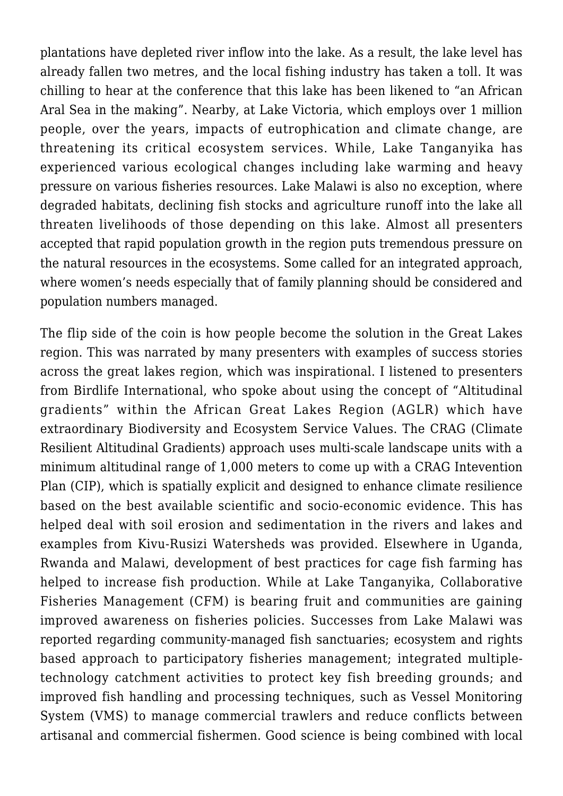plantations have depleted river inflow into the lake. As a result, the lake level has already fallen two metres, and the local fishing industry has taken a toll. It was chilling to hear at the conference that this lake has been likened to "an African Aral Sea in the making". Nearby, at Lake Victoria, which employs over 1 million people, over the years, impacts of eutrophication and climate change, are threatening its critical ecosystem services. While, Lake Tanganyika has experienced various ecological changes including lake warming and heavy pressure on various fisheries resources. Lake Malawi is also no exception, where degraded habitats, declining fish stocks and agriculture runoff into the lake all threaten livelihoods of those depending on this lake. Almost all presenters accepted that rapid population growth in the region puts tremendous pressure on the natural resources in the ecosystems. Some called for an integrated approach, where women's needs especially that of family planning should be considered and population numbers managed.

The flip side of the coin is how people become the solution in the Great Lakes region. This was narrated by many presenters with examples of success stories across the great lakes region, which was inspirational. I listened to presenters from Birdlife International, who spoke about using the concept of "Altitudinal gradients" within the African Great Lakes Region (AGLR) which have extraordinary Biodiversity and Ecosystem Service Values. The CRAG (Climate Resilient Altitudinal Gradients) approach uses multi-scale landscape units with a minimum altitudinal range of 1,000 meters to come up with a CRAG Intevention Plan (CIP), which is spatially explicit and designed to enhance climate resilience based on the best available scientific and socio-economic evidence. This has helped deal with soil erosion and sedimentation in the rivers and lakes and examples from Kivu-Rusizi Watersheds was provided. Elsewhere in Uganda, Rwanda and Malawi, development of best practices for cage fish farming has helped to increase fish production. While at Lake Tanganyika, Collaborative Fisheries Management (CFM) is bearing fruit and communities are gaining improved awareness on fisheries policies. Successes from Lake Malawi was reported regarding community-managed fish sanctuaries; ecosystem and rights based approach to participatory fisheries management; integrated multipletechnology catchment activities to protect key fish breeding grounds; and improved fish handling and processing techniques, such as Vessel Monitoring System (VMS) to manage commercial trawlers and reduce conflicts between artisanal and commercial fishermen. Good science is being combined with local